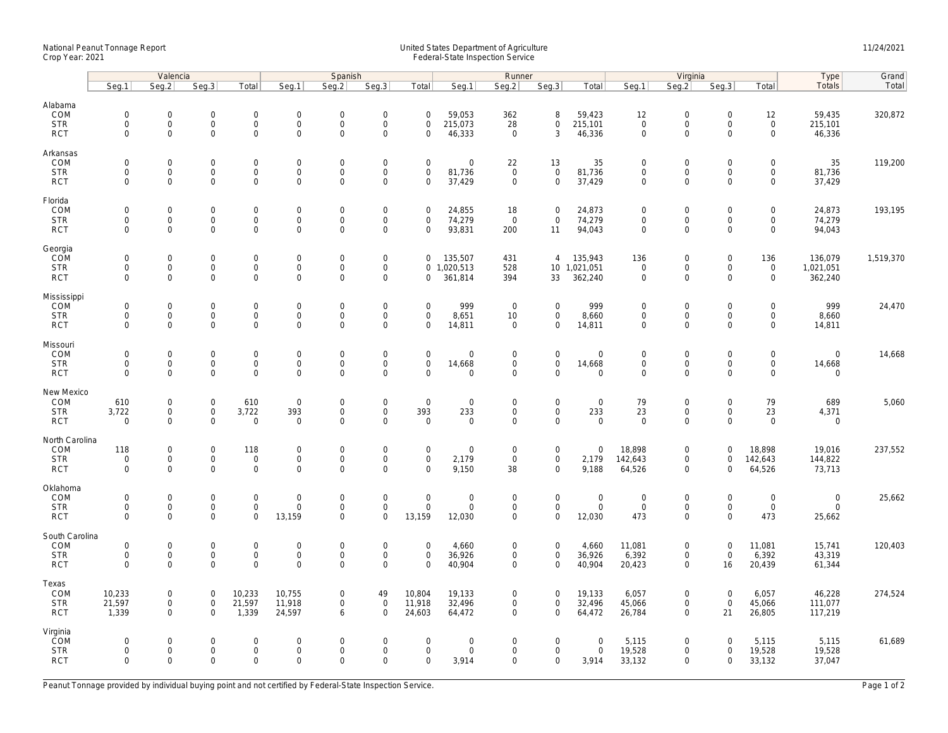## National Peanut Tonnage Report United States Department of Agriculture 11/24/2021<br>Crop Year: 2021 Federal-State Inspection Service

|                          | Valencia                    |                                     |                            |                                    | Spanish                            |                                    |                                            |                            |                           | Runner                                  |                                     |                         | Virginia                   |                                            |                            |                                     | Type                 | Grand     |
|--------------------------|-----------------------------|-------------------------------------|----------------------------|------------------------------------|------------------------------------|------------------------------------|--------------------------------------------|----------------------------|---------------------------|-----------------------------------------|-------------------------------------|-------------------------|----------------------------|--------------------------------------------|----------------------------|-------------------------------------|----------------------|-----------|
|                          | Seg.1                       | Seg.2                               | Seg.3                      | Total                              | Seg.1                              | Seq.2                              | Seg.3                                      | Total                      | Seg.1                     | Seg.2                                   | Seg.3                               | Total                   | Seq.1                      | Seg.2                                      | Seg.3                      | Total                               | Totals               | Total     |
| Alabama                  |                             |                                     |                            |                                    |                                    |                                    |                                            |                            |                           |                                         |                                     |                         |                            |                                            |                            |                                     |                      |           |
| COM                      | $\mathbf 0$                 | $\mathsf{O}\xspace$                 | $\mathbf 0$                | $\mathbf 0$                        | $\mathbf 0$                        | $\mathbf 0$                        | $\mathbf 0$                                | $\mathsf{O}\xspace$        | 59,053                    | 362                                     | 8                                   | 59,423                  | 12                         | $\mathsf{O}\xspace$                        | $\mathbf 0$                | 12                                  | 59,435               | 320,872   |
| <b>STR</b>               | $\mathsf{O}\xspace$         | $\mathsf{O}\xspace$                 | $\mathsf 0$                | $\mathsf{O}\xspace$                | $\mathsf{O}\xspace$                | $\mathbf 0$                        | $\mathsf{O}\xspace$                        | $\mathsf{O}\xspace$        | 215,073                   | 28                                      | $\mathsf{O}\xspace$                 | 215,101                 | $\mathbf 0$                | $\mathsf{O}\xspace$                        | $\mathsf 0$                | $\mathsf{O}\xspace$                 | 215,101              |           |
| <b>RCT</b>               | $\mathbf 0$                 | $\mathbf 0$                         | $\mathbf 0$                | $\mathbf 0$                        | $\mathbf 0$                        | $\mathbf 0$                        | $\mathbf 0$                                | $\mathbf 0$                | 46,333                    | $\mathbf 0$                             | 3                                   | 46,336                  | $\mathbf 0$                | $\mathbf 0$                                | $\Omega$                   | $\mathbf 0$                         | 46,336               |           |
| Arkansas                 |                             |                                     |                            |                                    |                                    |                                    |                                            |                            |                           |                                         |                                     |                         |                            |                                            |                            |                                     |                      |           |
| COM                      | $\mathbf{0}$                | $\mathsf{O}\xspace$                 | $\mathbf 0$                | $\mathsf{O}\xspace$                | $\mathbf 0$                        | $\mathbf 0$                        | $\boldsymbol{0}$                           | $\mathbf 0$                | 0                         | 22                                      | 13                                  | 35                      | $\mathbf 0$                | $\mathsf{O}\xspace$                        | $\Omega$                   | 0                                   | 35                   | 119,200   |
| <b>STR</b>               | $\mathbf 0$                 | $\mathbf{0}$                        | $\mathbf 0$                | $\mathbf 0$                        | $\mathsf{O}\xspace$                | $\mathbf 0$                        | $\mathsf{O}\xspace$                        | $\mathbf 0$                | 81,736                    | $\mathsf 0$                             | $\mathbf 0$                         | 81,736                  | $\mathbf 0$                | $\mathsf{O}$                               | $\mathbf 0$                | $\mathbf 0$                         | 81,736               |           |
| <b>RCT</b>               | $\mathbf 0$                 | $\mathbf 0$                         | $\mathbf 0$                | $\mathbf 0$                        | $\mathbf 0$                        | $\mathbf 0$                        | $\mathbf 0$                                | $\mathbf 0$                | 37,429                    | $\mathsf{O}\xspace$                     | $\mathbf{0}$                        | 37,429                  | $\mathbf 0$                | $\mathbf 0$                                | $\mathbf 0$                | $\mathbf 0$                         | 37,429               |           |
| Florida                  |                             |                                     |                            |                                    |                                    |                                    |                                            |                            |                           |                                         |                                     |                         |                            |                                            |                            |                                     |                      |           |
| COM                      | $\mathbf 0$                 | $\mathbf 0$                         | $\mathbf 0$                | $\mathbf 0$                        | $\mathsf{O}\xspace$                | $\mathbf 0$                        | $\mathbf 0$                                | $\mathbf 0$                | 24,855                    | 18                                      | $\mathbf 0$                         | 24,873                  | $\Omega$                   | $\mathsf{O}\xspace$                        | $\mathbf 0$                | $\mathbf 0$                         | 24,873               | 193,195   |
| <b>STR</b>               | $\mathbf 0$                 | $\mathbf 0$                         | $\mathbf 0$                | $\mathbf 0$                        | $\mathsf{O}\xspace$                | $\mathbf 0$                        | $\mathsf 0$                                | $\mathbf 0$                | 74,279                    | $\mathsf 0$                             | $\mathbf 0$                         | 74,279                  | $\mathbf 0$                | $\mathsf{O}\xspace$                        | $\mathbf 0$                | $\mathbf 0$                         | 74,279               |           |
| <b>RCT</b>               | $\mathbf 0$                 | $\mathbf 0$                         | $\mathbf 0$                | $\mathbf 0$                        | $\mathbf 0$                        | $\mathbf 0$                        | $\mathbf 0$                                | $\mathbf 0$                | 93,831                    | 200                                     | 11                                  | 94,043                  | $\mathbf 0$                | $\mathsf{O}\xspace$                        | $\mathbf 0$                | $\mathbf 0$                         | 94,043               |           |
| Georgia                  |                             |                                     |                            |                                    |                                    |                                    |                                            |                            |                           |                                         |                                     |                         |                            |                                            |                            |                                     |                      |           |
| COM                      | $\mathsf{O}\xspace$         | $\mathsf{O}\xspace$<br>$\mathbf 0$  | $\mathbf 0$<br>0           | $\mathbf 0$<br>$\mathbf 0$         | $\mathsf{O}\xspace$<br>$\mathbf 0$ | $\mathbf 0$<br>$\mathbf 0$         | $\mathsf 0$<br>$\mathsf 0$                 | $\mathbf 0$                | 135,507                   | 431                                     | $\overline{4}$                      | 135,943                 | 136<br>$\mathsf 0$         | $\mathsf{O}\xspace$<br>$\mathsf{O}\xspace$ | 0<br>$\mathbf 0$           | 136                                 | 136,079              | 1,519,370 |
| <b>STR</b><br><b>RCT</b> | $\mathbf 0$<br>$\mathbf{0}$ | $\Omega$                            | $\mathbf 0$                | $\mathbf{0}$                       | $\mathbf 0$                        | $\mathbf 0$                        | $\mathbf 0$                                | $\mathbf 0$                | 0, 1, 020, 513<br>361,814 | 528<br>394                              | 33                                  | 10 1,021,051<br>362,240 | $\mathbf 0$                | $\mathbf 0$                                | $\Omega$                   | $\mathsf{O}\xspace$<br>$\mathbf{0}$ | 1,021,051<br>362,240 |           |
|                          |                             |                                     |                            |                                    |                                    |                                    |                                            |                            |                           |                                         |                                     |                         |                            |                                            |                            |                                     |                      |           |
| Mississippi              |                             |                                     |                            |                                    |                                    |                                    |                                            |                            |                           |                                         |                                     |                         |                            |                                            |                            |                                     |                      |           |
| COM<br><b>STR</b>        | $\mathbf 0$<br>$\mathbf 0$  | $\mathbf 0$<br>$\mathsf{O}\xspace$  | $\mathbf 0$<br>$\mathbf 0$ | $\mathbf 0$<br>$\mathsf{O}\xspace$ | $\mathbf 0$<br>$\boldsymbol{0}$    | $\mathbf 0$<br>$\mathbf 0$         | $\mathbf 0$<br>$\mathsf{O}\xspace$         | $\mathbf 0$<br>$\mathbf 0$ | 999<br>8,651              | $\mathbf 0$<br>10                       | $\mathbf 0$<br>$\mathsf{O}\xspace$  | 999<br>8,660            | $\mathbf 0$<br>0           | $\mathbf 0$<br>$\mathsf{O}\xspace$         | 0<br>0                     | $\Omega$<br>$\mathsf{O}\xspace$     | 999<br>8,660         | 24,470    |
| <b>RCT</b>               | $\mathbf 0$                 | $\mathbf 0$                         | $\mathbf 0$                | $\mathbf{O}$                       | $\mathbf 0$                        | $\mathbf 0$                        | $\mathbf 0$                                | $\mathbf{0}$               | 14,811                    | $\mathbf 0$                             | $\mathbf 0$                         | 14,811                  | $\mathbf 0$                | $\mathbf 0$                                | $\mathbf 0$                | $\mathbf 0$                         | 14,811               |           |
|                          |                             |                                     |                            |                                    |                                    |                                    |                                            |                            |                           |                                         |                                     |                         |                            |                                            |                            |                                     |                      |           |
| Missouri                 | $\mathsf{O}\xspace$         | $\mathsf{O}\xspace$                 |                            | $\mathsf{O}\xspace$                | $\mathbf 0$                        | $\mathbf 0$                        |                                            | $\mathsf{O}\xspace$        |                           |                                         | $\mathsf{O}\xspace$                 |                         |                            | $\mathsf{O}\xspace$                        |                            | 0                                   | $\mathbf 0$          |           |
| COM<br><b>STR</b>        | $\mathbf 0$                 | $\mathbf{0}$                        | $\mathbf 0$<br>$\mathbf 0$ | $\mathbf 0$                        | $\mathsf 0$                        | $\mathbf 0$                        | $\mathsf{O}\xspace$<br>$\mathsf{O}\xspace$ | $\mathbf 0$                | 0<br>14,668               | $\mathsf 0$<br>$\mathsf{O}\xspace$      | $\mathsf{O}$                        | $\mathbf 0$<br>14,668   | $\mathbf 0$<br>$\mathbf 0$ | $\mathsf{O}$                               | 0<br>$\mathbf 0$           | $\mathbf 0$                         | 14,668               | 14,668    |
| <b>RCT</b>               | $\mathbf 0$                 | $\mathbf 0$                         | 0                          | $\mathbf 0$                        | $\mathsf{O}\xspace$                | $\mathbf 0$                        | $\Omega$                                   | $\mathbf 0$                | $\mathbf 0$               | $\mathsf 0$                             | $\mathbf{0}$                        | $\mathbf 0$             | $\Omega$                   | $\mathbf 0$                                | $\mathbf 0$                | $\mathbf 0$                         | 0                    |           |
|                          |                             |                                     |                            |                                    |                                    |                                    |                                            |                            |                           |                                         |                                     |                         |                            |                                            |                            |                                     |                      |           |
| New Mexico<br>COM        | 610                         | $\mathsf{O}\xspace$                 | $\mathbf 0$                | 610                                | $\boldsymbol{0}$                   | $\mathbf 0$                        | $\boldsymbol{0}$                           | $\mathbf 0$                | $\mathbf 0$               | $\mathbf 0$                             | $\mathsf{O}\xspace$                 | $\mathbf 0$             | 79                         | $\mathsf{O}\xspace$                        | 0                          | 79                                  | 689                  | 5,060     |
| <b>STR</b>               | 3,722                       | $\mathsf{O}$                        | $\mathsf{O}\xspace$        | 3,722                              | 393                                | $\mathbf 0$                        | $\mathsf{O}\xspace$                        | 393                        | 233                       | $\mathsf{O}\xspace$                     | $\mathbf 0$                         | 233                     | 23                         | $\mathsf{O}\xspace$                        | 0                          | 23                                  | 4,371                |           |
| <b>RCT</b>               | $\mathbf 0$                 | $\mathbf 0$                         | $\mathbf 0$                | $\mathbf 0$                        | $\mathbf 0$                        | $\mathbf 0$                        | $\mathbf 0$                                | $\overline{0}$             | $\mathbf 0$               | $\mathbf 0$                             | $\mathbf 0$                         | $\mathbf 0$             | $\mathbf 0$                | $\mathbf 0$                                | $\mathbf 0$                | $\mathbf 0$                         | $\mathbf 0$          |           |
| North Carolina           |                             |                                     |                            |                                    |                                    |                                    |                                            |                            |                           |                                         |                                     |                         |                            |                                            |                            |                                     |                      |           |
| COM                      | 118                         | $\mathsf{O}\xspace$                 | $\mathbf 0$                | 118                                | $\mathbf 0$                        | $\mathbf 0$                        | $\mathsf 0$                                | $\mathsf{O}\xspace$        | 0                         | $\mathbf 0$                             | $\mathsf{O}\xspace$                 | $\mathbf 0$             | 18,898                     | $\mathsf{O}\xspace$                        | $\mathbf 0$                | 18,898                              | 19,016               | 237,552   |
| <b>STR</b>               | $\mathsf{O}\xspace$         | $\mathbf 0$                         | $\mathbf 0$                | $\mathsf{O}\xspace$                | $\mathsf{O}\xspace$                | $\mathbf 0$                        | $\mathsf 0$                                | $\mathsf{O}\xspace$        | 2,179                     | $\mathsf 0$                             | $\mathbf 0$                         | 2,179                   | 142,643                    | $\mathbf 0$                                | $\mathbf 0$                | 142,643                             | 144,822              |           |
| <b>RCT</b>               | $\mathbf 0$                 | $\mathbf 0$                         | $\mathbf 0$                | $\mathbf 0$                        | $\mathbf 0$                        | $\Omega$                           | $\mathbf 0$                                | $\mathbf 0$                | 9,150                     | 38                                      | $\mathbf 0$                         | 9,188                   | 64,526                     | $\mathbf 0$                                | $\mathbf 0$                | 64,526                              | 73,713               |           |
| Oklahoma                 |                             |                                     |                            |                                    |                                    |                                    |                                            |                            |                           |                                         |                                     |                         |                            |                                            |                            |                                     |                      |           |
| COM                      | $\mathsf{O}\xspace$         | $\mathsf{O}\xspace$                 | $\mathbf 0$                | $\mathbf 0$                        | $\mathbf 0$                        | $\mathbf 0$                        | $\mathsf 0$                                | $\mathsf{O}\xspace$        | 0                         | $\mathsf 0$                             | $\mathsf{O}\xspace$                 | $\mathbf 0$             | $\mathbf 0$                | $\mathsf{O}\xspace$                        | $\mathbf 0$                | $\mathsf 0$                         | $\mathsf{O}\xspace$  | 25,662    |
| <b>STR</b>               | $\mathbf 0$                 | $\mathbf{0}$                        | $\mathbf 0$                | $\mathbf 0$                        | $\mathbf 0$                        | $\mathbf 0$                        | $\mathsf{O}\xspace$                        | $\mathbf 0$                | $\mathbf 0$               | $\mathsf{O}$                            | $\mathbf 0$                         | $\mathbf 0$             | $\mathbf 0$                | $\mathsf{O}\xspace$                        | $\mathbf 0$                | $\mathbf 0$                         | $\mathbf 0$          |           |
| <b>RCT</b>               | $\mathbf 0$                 | $\mathsf{O}\xspace$                 | 0                          | $\mathbf 0$                        | 13,159                             | $\mathbf 0$                        | $\mathbf 0$                                | 13,159                     | 12,030                    | $\mathsf{O}\xspace$                     | $\mathbf 0$                         | 12,030                  | 473                        | $\mathsf{O}\xspace$                        | $\mathbf 0$                | 473                                 | 25,662               |           |
| South Carolina           |                             |                                     |                            |                                    |                                    |                                    |                                            |                            |                           |                                         |                                     |                         |                            |                                            |                            |                                     |                      |           |
| COM<br><b>STR</b>        | $\mathbf 0$<br>$\mathbf 0$  | $\mathsf{O}\xspace$<br>$\mathsf{O}$ | $\mathbf 0$<br>$\mathsf 0$ | $\mathsf{O}\xspace$<br>$\mathbf 0$ | $\mathbf 0$<br>$\mathsf 0$         | $\mathsf{O}\xspace$<br>$\mathbf 0$ | $\mathbf 0$<br>$\mathsf{O}\xspace$         | $\mathbf 0$<br>$\mathbf 0$ | 4,660<br>36,926           | $\boldsymbol{0}$<br>$\mathsf{O}\xspace$ | $\mathsf{O}\xspace$<br>$\mathsf{O}$ | 4,660<br>36,926         | 11,081<br>6,392            | $\mathsf{O}\xspace$<br>$\mathsf{O}$        | $\mathbf 0$<br>$\mathsf 0$ | 11,081<br>6,392                     | 15,741<br>43,319     | 120,403   |
| <b>RCT</b>               | $\Omega$                    | $\mathbf 0$                         | $\mathbf 0$                | $\mathbf{O}$                       | $\mathbf 0$                        | $\mathbf 0$                        | $\mathbf 0$                                | $\mathbf 0$                | 40,904                    | $\mathbf 0$                             | $\mathbf 0$                         | 40,904                  | 20,423                     | $\mathbf 0$                                | 16                         | 20,439                              | 61,344               |           |
|                          |                             |                                     |                            |                                    |                                    |                                    |                                            |                            |                           |                                         |                                     |                         |                            |                                            |                            |                                     |                      |           |
| Texas<br>COM             | 10,233                      | $\mathsf{O}\xspace$                 | $\mathbf 0$                | 10,233                             | 10,755                             | $\mathbf 0$                        | 49                                         | 10,804                     | 19,133                    | $\boldsymbol{0}$                        | $\mathbf 0$                         | 19,133                  | 6,057                      | $\mathsf{O}\xspace$                        | $\mathbf 0$                | 6,057                               | 46,228               | 274,524   |
| <b>STR</b>               | 21,597                      | $\mathbf 0$                         | $\mathsf 0$                | 21,597                             | 11,918                             | $\mathbf 0$                        | $\mathsf 0$                                | 11,918                     | 32,496                    | $\mathsf{O}\xspace$                     | $\mathbf 0$                         | 32,496                  | 45,066                     | $\mathsf{O}\xspace$                        | $\mathsf 0$                | 45,066                              | 111,077              |           |
| <b>RCT</b>               | 1,339                       | $\mathbf 0$                         | $\mathbf 0$                | 1,339                              | 24,597                             | 6                                  | $\mathbf 0$                                | 24,603                     | 64,472                    | $\mathbf 0$                             | $\mathbf{0}$                        | 64,472                  | 26,784                     | $\mathbf 0$                                | 21                         | 26,805                              | 117,219              |           |
| Virginia                 |                             |                                     |                            |                                    |                                    |                                    |                                            |                            |                           |                                         |                                     |                         |                            |                                            |                            |                                     |                      |           |
| <b>COM</b>               | $\mathbf 0$                 | $\mathsf{O}\xspace$                 | $\mathbf 0$                | $\mathsf{O}\xspace$                | $\mathbf 0$                        | $\mathbf 0$                        | $\mathsf 0$                                | $\mathsf{O}\xspace$        | 0                         | $\mathbf 0$                             | $\mathsf{O}\xspace$                 | $\mathsf{O}\xspace$     | 5,115                      | $\mathsf{O}\xspace$                        | $\mathbf 0$                | 5,115                               | 5,115                | 61,689    |
| <b>STR</b>               | $\mathbf 0$                 | $\mathbf 0$                         | $\mathbf 0$                | $\mathbf 0$                        | $\mathbf 0$                        | $\mathbf 0$                        | $\mathsf 0$                                | $\mathsf{O}\xspace$        | 0                         | $\mathsf 0$                             | $\mathbf 0$                         | $\mathsf{O}\xspace$     | 19,528                     | $\mathsf{O}\xspace$                        | $\mathbf 0$                | 19,528                              | 19,528               |           |
| <b>RCT</b>               | $\Omega$                    | $\Omega$                            | $\Omega$                   | $\mathbf 0$                        | $\Omega$                           | $\Omega$                           | $\Omega$                                   | $\Omega$                   | 3,914                     | $\mathbf 0$                             | $\mathbf 0$                         | 3,914                   | 33,132                     | $\Omega$                                   | 0                          | 33,132                              | 37,047               |           |